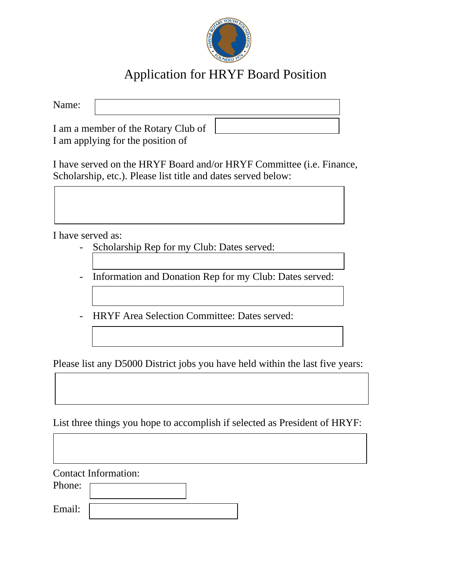

## Application for HRYF Board Position

| Name:                                                                    |  |  |
|--------------------------------------------------------------------------|--|--|
| I am a member of the Rotary Club of<br>I am applying for the position of |  |  |

I have served on the HRYF Board and/or HRYF Committee (i.e. Finance, Scholarship, etc.). Please list title and dates served below:

I have served as:

- Scholarship Rep for my Club: Dates served:
- Information and Donation Rep for my Club: Dates served:
- HRYF Area Selection Committee: Dates served:

Please list any D5000 District jobs you have held within the last five years:

List three things you hope to accomplish if selected as President of HRYF:

Contact Information:

Phone:

Email: